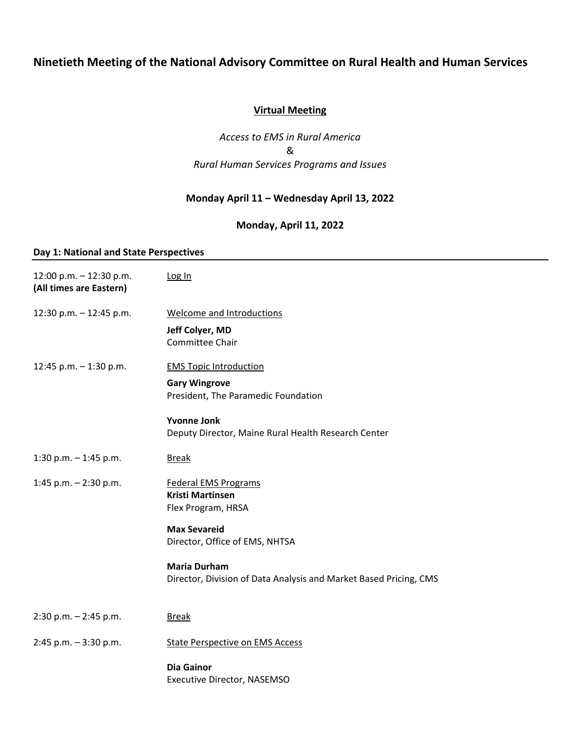# **Ninetieth Meeting of the National Advisory Committee on Rural Health and Human Services**

## **Virtual Meeting**

*Access to EMS in Rural America* & *Rural Human Services Programs and Issues*

## **Monday April 11 – Wednesday April 13, 2022**

### **Monday, April 11, 2022**

### **Day 1: National and State Perspectives**

| 12:00 p.m. - 12:30 p.m.<br>(All times are Eastern) | Log In                                                                    |
|----------------------------------------------------|---------------------------------------------------------------------------|
| 12:30 p.m. $-$ 12:45 p.m.                          | Welcome and Introductions                                                 |
|                                                    | Jeff Colyer, MD<br>Committee Chair                                        |
| 12:45 p.m. - 1:30 p.m.                             | <b>EMS Topic Introduction</b>                                             |
|                                                    | <b>Gary Wingrove</b><br>President, The Paramedic Foundation               |
|                                                    | <b>Yvonne Jonk</b><br>Deputy Director, Maine Rural Health Research Center |
| 1:30 p.m. - 1:45 p.m.                              | <b>Break</b>                                                              |
| 1:45 p.m. $-$ 2:30 p.m.                            | <b>Federal EMS Programs</b>                                               |
|                                                    | <b>Kristi Martinsen</b><br>Flex Program, HRSA                             |
|                                                    | <b>Max Sevareid</b><br>Director, Office of EMS, NHTSA                     |
|                                                    | <b>Maria Durham</b>                                                       |
|                                                    | Director, Division of Data Analysis and Market Based Pricing, CMS         |
| $2:30$ p.m. $-2:45$ p.m.                           | <b>Break</b>                                                              |
| $2:45$ p.m. $-3:30$ p.m.                           | <b>State Perspective on EMS Access</b>                                    |
|                                                    | <b>Dia Gainor</b><br>Executive Director, NASEMSO                          |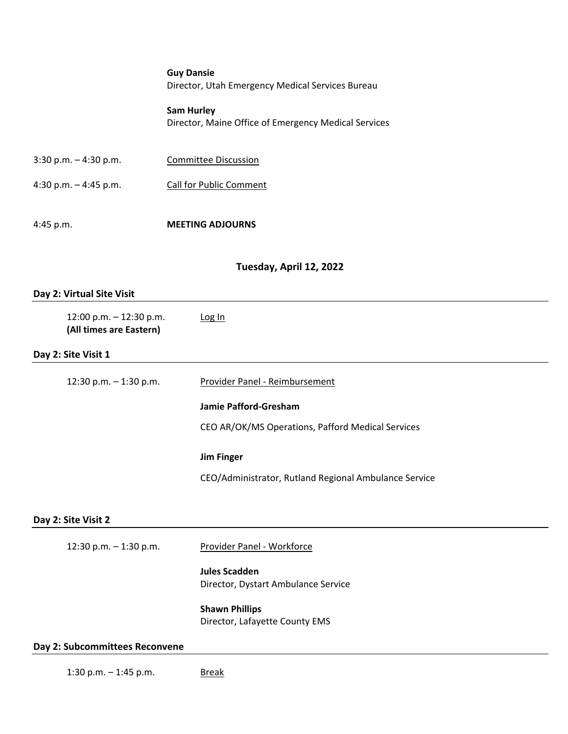**Guy Dansie** Director, Utah Emergency Medical Services Bureau

**Sam Hurley** Director, Maine Office of Emergency Medical Services

| $3:30$ p.m. $-4:30$ p.m. | Committee Discussion    |
|--------------------------|-------------------------|
| $4:30$ p.m. $-4:45$ p.m. | Call for Public Comment |

4:45 p.m. **MEETING ADJOURNS**

### **Tuesday, April 12, 2022**

#### **Day 2: Virtual Site Visit**

| 12:00 p.m. - 12:30 p.m.<br>(All times are Eastern) | Log In                                                |
|----------------------------------------------------|-------------------------------------------------------|
| Day 2: Site Visit 1                                |                                                       |
| 12:30 p.m. - 1:30 p.m.                             | Provider Panel - Reimbursement                        |
|                                                    | Jamie Pafford-Gresham                                 |
|                                                    | CEO AR/OK/MS Operations, Pafford Medical Services     |
|                                                    | <b>Jim Finger</b>                                     |
|                                                    | CEO/Administrator, Rutland Regional Ambulance Service |
| Day 2: Site Visit 2                                |                                                       |
| 12:30 p.m. $-$ 1:30 p.m.                           | Provider Panel - Workforce                            |
|                                                    | <b>Jules Scadden</b>                                  |
|                                                    | Director, Dystart Ambulance Service                   |
|                                                    | <b>Shawn Phillips</b>                                 |
|                                                    | Director, Lafayette County EMS                        |

### **Day 2: Subcommittees Reconvene**

1:30 p.m. - 1:45 p.m. Break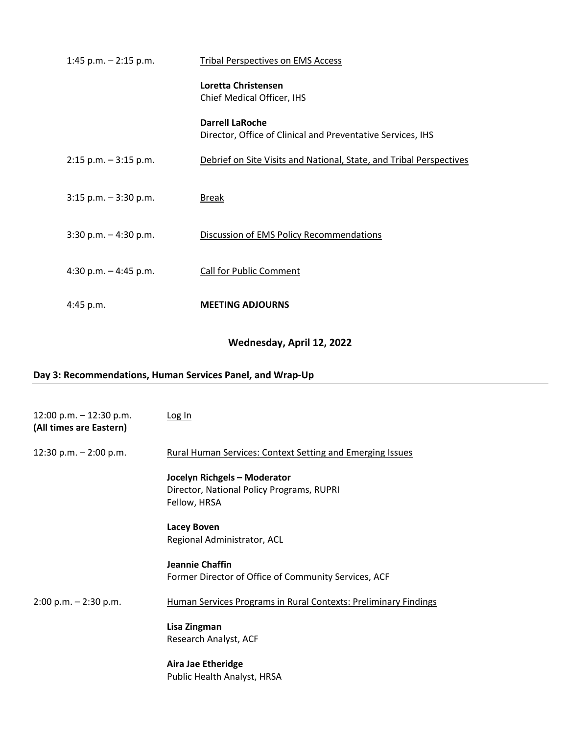| 1:45 p.m. $-$ 2:15 p.m.  | <b>Tribal Perspectives on EMS Access</b>                                              |
|--------------------------|---------------------------------------------------------------------------------------|
|                          | Loretta Christensen<br>Chief Medical Officer, IHS                                     |
|                          | <b>Darrell LaRoche</b><br>Director, Office of Clinical and Preventative Services, IHS |
| $2:15$ p.m. $-3:15$ p.m. | Debrief on Site Visits and National, State, and Tribal Perspectives                   |
| $3:15$ p.m. $-3:30$ p.m. | <b>Break</b>                                                                          |
| $3:30$ p.m. $-4:30$ p.m. | Discussion of EMS Policy Recommendations                                              |
| 4:30 p.m. $-$ 4:45 p.m.  | <b>Call for Public Comment</b>                                                        |
| $4:45$ p.m.              | <b>MEETING ADJOURNS</b>                                                               |

# **Wednesday, April 12, 2022**

# **Day 3: Recommendations, Human Services Panel, and Wrap-Up**

| 12:00 p.m. $-$ 12:30 p.m.<br>(All times are Eastern) | Log In                                                                                    |
|------------------------------------------------------|-------------------------------------------------------------------------------------------|
| 12:30 p.m. $-$ 2:00 p.m.                             | Rural Human Services: Context Setting and Emerging Issues                                 |
|                                                      | Jocelyn Richgels - Moderator<br>Director, National Policy Programs, RUPRI<br>Fellow, HRSA |
|                                                      | <b>Lacey Boven</b><br>Regional Administrator, ACL                                         |
|                                                      | Jeannie Chaffin<br>Former Director of Office of Community Services, ACF                   |
| $2:00$ p.m. $-2:30$ p.m.                             | Human Services Programs in Rural Contexts: Preliminary Findings                           |
|                                                      | Lisa Zingman<br>Research Analyst, ACF                                                     |
|                                                      | <b>Aira Jae Etheridge</b><br>Public Health Analyst, HRSA                                  |